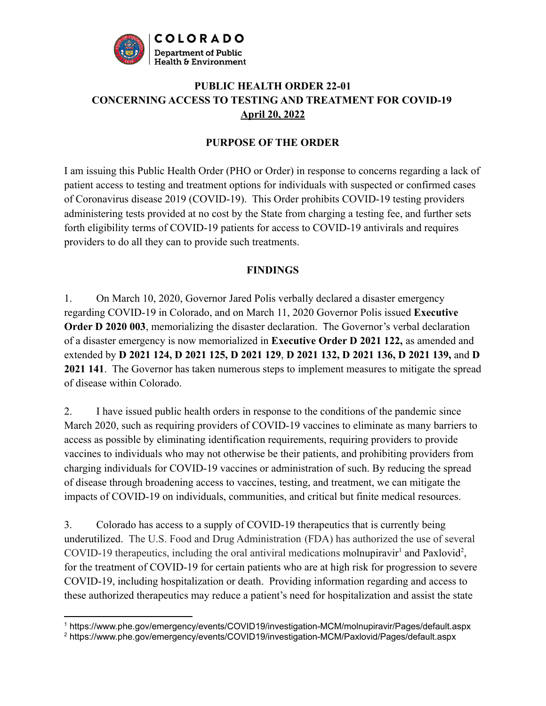

# **PUBLIC HEALTH ORDER 22-01 CONCERNING ACCESS TO TESTING AND TREATMENT FOR COVID-19 April 20, 2022**

#### **PURPOSE OF THE ORDER**

I am issuing this Public Health Order (PHO or Order) in response to concerns regarding a lack of patient access to testing and treatment options for individuals with suspected or confirmed cases of Coronavirus disease 2019 (COVID-19). This Order prohibits COVID-19 testing providers administering tests provided at no cost by the State from charging a testing fee, and further sets forth eligibility terms of COVID-19 patients for access to COVID-19 antivirals and requires providers to do all they can to provide such treatments.

### **FINDINGS**

1. On March 10, 2020, Governor Jared Polis verbally declared a disaster emergency regarding COVID-19 in Colorado, and on March 11, 2020 Governor Polis issued **Executive Order D 2020 003**, memorializing the disaster declaration. The Governor's verbal declaration of a disaster emergency is now memorialized in **Executive Order D 2021 122,** as amended and extended by **D 2021 124, D 2021 125, D 2021 129**, **D 2021 132, D 2021 136, D 2021 139,** and **D 2021 141**. The Governor has taken numerous steps to implement measures to mitigate the spread of disease within Colorado.

2. I have issued public health orders in response to the conditions of the pandemic since March 2020, such as requiring providers of COVID-19 vaccines to eliminate as many barriers to access as possible by eliminating identification requirements, requiring providers to provide vaccines to individuals who may not otherwise be their patients, and prohibiting providers from charging individuals for COVID-19 vaccines or administration of such. By reducing the spread of disease through broadening access to vaccines, testing, and treatment, we can mitigate the impacts of COVID-19 on individuals, communities, and critical but finite medical resources.

3. Colorado has access to a supply of COVID-19 therapeutics that is currently being underutilized. The U.S. Food and Drug Administration (FDA) has authorized the use of several COVID-19 therapeutics, including the oral antiviral medications molnupiravir<sup>1</sup> and Paxlovid<sup>2</sup>, for the treatment of COVID-19 for certain patients who are at high risk for progression to severe COVID-19, including hospitalization or death. Providing information regarding and access to these authorized therapeutics may reduce a patient's need for hospitalization and assist the state

<sup>1</sup> https://www.phe.gov/emergency/events/COVID19/investigation-MCM/molnupiravir/Pages/default.aspx

<sup>2</sup> https://www.phe.gov/emergency/events/COVID19/investigation-MCM/Paxlovid/Pages/default.aspx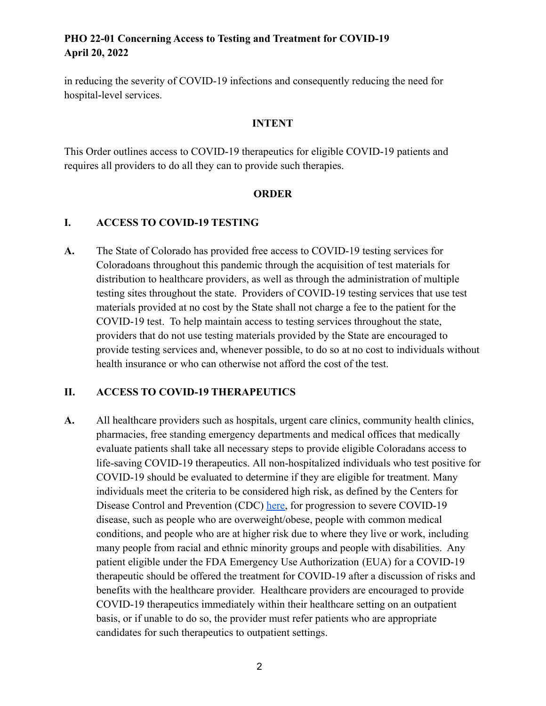## **PHO 22-01 Concerning Access to Testing and Treatment for COVID-19 April 20, 2022**

in reducing the severity of COVID-19 infections and consequently reducing the need for hospital-level services.

#### **INTENT**

This Order outlines access to COVID-19 therapeutics for eligible COVID-19 patients and requires all providers to do all they can to provide such therapies.

#### **ORDER**

#### **I. ACCESS TO COVID-19 TESTING**

**A.** The State of Colorado has provided free access to COVID-19 testing services for Coloradoans throughout this pandemic through the acquisition of test materials for distribution to healthcare providers, as well as through the administration of multiple testing sites throughout the state. Providers of COVID-19 testing services that use test materials provided at no cost by the State shall not charge a fee to the patient for the COVID-19 test. To help maintain access to testing services throughout the state, providers that do not use testing materials provided by the State are encouraged to provide testing services and, whenever possible, to do so at no cost to individuals without health insurance or who can otherwise not afford the cost of the test.

#### **II. ACCESS TO COVID-19 THERAPEUTICS**

**A.** All healthcare providers such as hospitals, urgent care clinics, community health clinics, pharmacies, free standing emergency departments and medical offices that medically evaluate patients shall take all necessary steps to provide eligible Coloradans access to life-saving COVID-19 therapeutics. All non-hospitalized individuals who test positive for COVID-19 should be evaluated to determine if they are eligible for treatment. Many individuals meet the criteria to be considered high risk, as defined by the Centers for Disease Control and Prevention (CDC) [here,](https://www.cdc.gov/coronavirus/2019-ncov/need-extra-precautions/people-with-medical-conditions.html) for progression to severe COVID-19 disease, such as people who are overweight/obese, people with common medical conditions, and people who are at higher risk due to where they live or work, including many people from racial and ethnic minority groups and people with disabilities. Any patient eligible under the FDA Emergency Use Authorization (EUA) for a COVID-19 therapeutic should be offered the treatment for COVID-19 after a discussion of risks and benefits with the healthcare provider. Healthcare providers are encouraged to provide COVID-19 therapeutics immediately within their healthcare setting on an outpatient basis, or if unable to do so, the provider must refer patients who are appropriate candidates for such therapeutics to outpatient settings.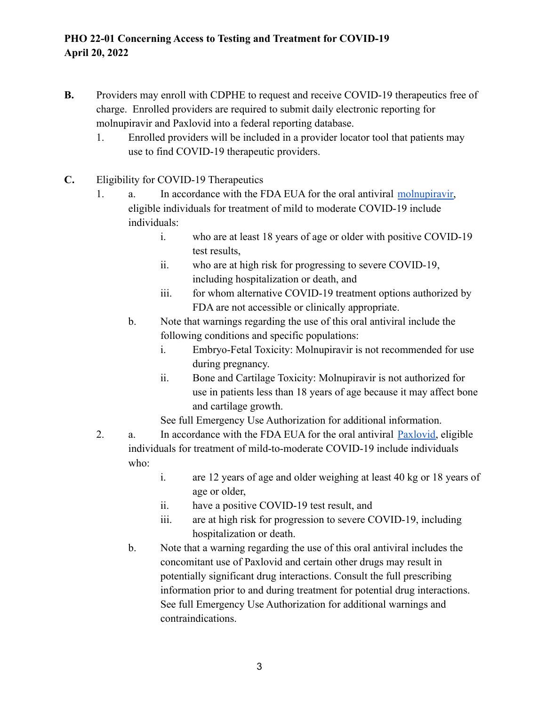- **B.** Providers may enroll with CDPHE to request and receive COVID-19 therapeutics free of charge. Enrolled providers are required to submit daily electronic reporting for molnupiravir and Paxlovid into a federal reporting database.
	- 1. Enrolled providers will be included in a provider locator tool that patients may use to find COVID-19 therapeutic providers.
- **C.** Eligibility for COVID-19 Therapeutics
	- 1. a. In accordance with the FDA EUA for the oral antiviral [molnupiravir,](https://www.phe.gov/emergency/events/COVID19/investigation-MCM/molnupiravir/Pages/default.aspx) eligible individuals for treatment of mild to moderate COVID-19 include individuals:
		- i. who are at least 18 years of age or older with positive COVID-19 test results,
		- ii. who are at high risk for progressing to severe COVID-19, including hospitalization or death, and
		- iii. for whom alternative COVID-19 treatment options authorized by FDA are not accessible or clinically appropriate.
		- b. Note that warnings regarding the use of this oral antiviral include the following conditions and specific populations:
			- i. Embryo-Fetal Toxicity: Molnupiravir is not recommended for use during pregnancy.
			- ii. Bone and Cartilage Toxicity: Molnupiravir is not authorized for use in patients less than 18 years of age because it may affect bone and cartilage growth.

See full Emergency Use Authorization for additional information.

- 2. a. In accordance with the FDA EUA for the oral antiviral **Paxlovid**, eligible individuals for treatment of mild-to-moderate COVID-19 include individuals who:
	- i. are 12 years of age and older weighing at least 40 kg or 18 years of age or older,
	- ii. have a positive COVID-19 test result, and
	- iii. are at high risk for progression to severe COVID-19, including hospitalization or death.
	- b. Note that a warning regarding the use of this oral antiviral includes the concomitant use of Paxlovid and certain other drugs may result in potentially significant drug interactions. Consult the full prescribing information prior to and during treatment for potential drug interactions. See full Emergency Use Authorization for additional warnings and contraindications.